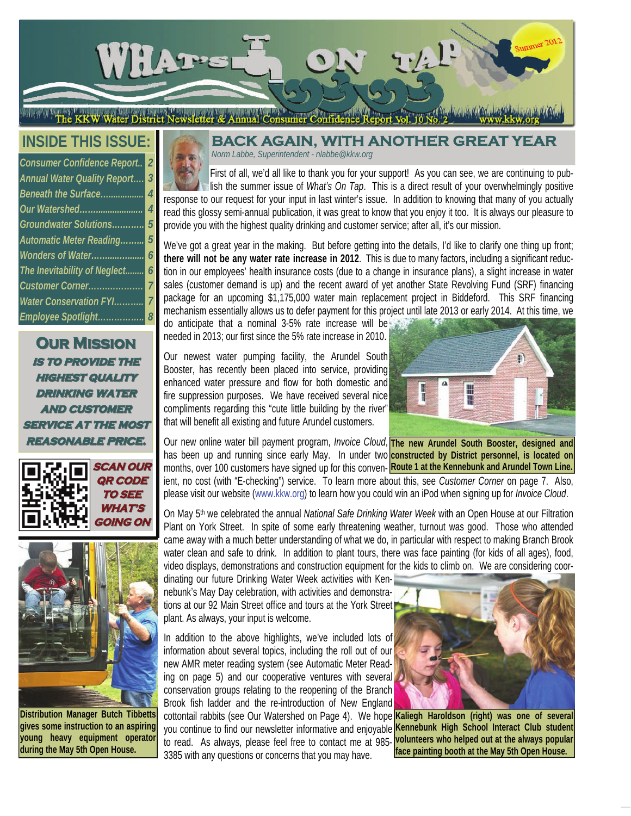

**INSIDE THIS ISSUE:** 

| <b>Consumer Confidence Report</b>  | $\overline{\mathbf{2}}$ |
|------------------------------------|-------------------------|
| <b>Annual Water Quality Report</b> | $\overline{3}$          |
| Beneath the Surface                | $\overline{4}$          |
| Our Watershed                      | $\overline{4}$          |
| Groundwater Solutions              | $\overline{5}$          |
| <b>Automatic Meter Reading</b>     | 5                       |
| Wonders of Water                   | 6                       |
| The Inevitability of Neglect       | 6                       |
| Customer Corner                    | $\overline{7}$          |
| <b>Water Conservation FYI</b>      | $\overline{7}$          |
| Employee Spotlight 8               |                         |

**OUR MISSION is to provide the is to provide the highest quality highest quality drinking water drinking water AND CUSTOMER service at the most service at the most** 





**Distribution Manager Butch Tibbetts gives some instruction to an aspiring young heavy equipment operator during the May 5th Open House.** 

#### **BACK AGAIN, WITH ANOTHER GREA** *Norm Labbe, Superintendent - nlabbe@kkw.org*

First of all, we'd all like to thank you for your support! As you can see, we are continuing to publish the summer issue of *What's On Tap*. This is a direct result of your overwhelmingly positive response to our request for your input in last winter's issue. In addition to knowing that many of you actually read this glossy semi-annual publication, it was great to know that you enjoy it too. It is always our pleasure to provide you with the highest quality drinking and customer service; after all, it's our mission.

We've got a great year in the making. But before getting into the details, I'd like to clarify one thing up front; **there will not be any water rate increase in 2012**. This is due to many factors, including a significant reduction in our employees' health insurance costs (due to a change in insurance plans), a slight increase in water sales (customer demand is up) and the recent award of yet another State Revolving Fund (SRF) financing package for an upcoming \$1,175,000 water main replacement project in Biddeford. This SRF financing mechanism essentially allows us to defer payment for this project until late 2013 or early 2014. At this time, we

do anticipate that a nominal 3-5% rate increase will be needed in 2013; our first since the 5% rate increase in 2010.

Our newest water pumping facility, the Arundel South Booster, has recently been placed into service, providing enhanced water pressure and flow for both domestic and fire suppression purposes. We have received several nice compliments regarding this "cute little building by the river" that will benefit all existing and future Arundel customers.



**REASONABLE PRICE.** Our new online water bill payment program, *Invoice Cloud*, The new Arundel South Booster, designed and has been up and running since early May. In under two **constructed by District personnel, is located on** months, over 100 customers have signed up for this conven- **Route 1 at the Kennebunk and Arundel Town Line**. ient, no cost (with "E-checking") service. To learn more about this, see *Customer Corner* on page 7. Also, please visit our website (www.kkw.org) to learn how you could win an iPod when signing up for *Invoice Cloud*.

> On May 5th we celebrated the annual *National Safe Drinking Water Week* with an Open House at our Filtration Plant on York Street. In spite of some early threatening weather, turnout was good. Those who attended came away with a much better understanding of what we do, in particular with respect to making Branch Brook water clean and safe to drink. In addition to plant tours, there was face painting (for kids of all ages), food, video displays, demonstrations and construction equipment for the kids to climb on. We are considering coor-

dinating our future Drinking Water Week activities with Kennebunk's May Day celebration, with activities and demonstrations at our 92 Main Street office and tours at the York Street plant. As always, your input is welcome.

In addition to the above highlights, we've included lots of information about several topics, including the roll out of our new AMR meter reading system (see Automatic Meter Reading on page 5) and our cooperative ventures with several conservation groups relating to the reopening of the Branch Brook fish ladder and the re-introduction of New England

cottontail rabbits (see Our Watershed on Page 4). We hope **Kaliegh Haroldson (right) was one of several**  you continue to find our newsletter informative and enjoyable **Kennebunk High School Interact Club student**  to read. As always, please feel free to contact me at 985- **volunteers who helped out at the always popular**  3385 with any questions or concerns that you may have.



**face painting booth at the May 5th Open House.**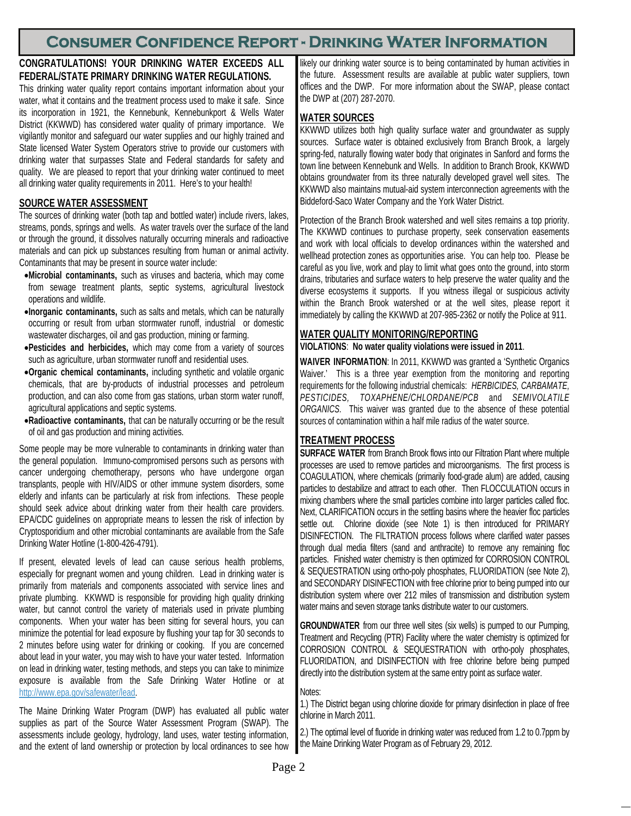# **Consumer Confidence Report - Drinking Water Information**

### **CONGRATULATIONS! YOUR DRINKING WATER EXCEEDS ALL FEDERAL/STATE PRIMARY DRINKING WATER REGULATIONS.**

This drinking water quality report contains important information about your water, what it contains and the treatment process used to make it safe. Since its incorporation in 1921, the Kennebunk, Kennebunkport & Wells Water District (KKWWD) has considered water quality of primary importance. We vigilantly monitor and safeguard our water supplies and our highly trained and State licensed Water System Operators strive to provide our customers with drinking water that surpasses State and Federal standards for safety and quality. We are pleased to report that your drinking water continued to meet all drinking water quality requirements in 2011. Here's to your health!

## **SOURCE WATER ASSESSMENT**

The sources of drinking water (both tap and bottled water) include rivers, lakes, streams, ponds, springs and wells. As water travels over the surface of the land or through the ground, it dissolves naturally occurring minerals and radioactive materials and can pick up substances resulting from human or animal activity. Contaminants that may be present in source water include:

- **Microbial contaminants,** such as viruses and bacteria, which may come from sewage treatment plants, septic systems, agricultural livestock operations and wildlife.
- **Inorganic contaminants,** such as salts and metals, which can be naturally occurring or result from urban stormwater runoff, industrial or domestic wastewater discharges, oil and gas production, mining or farming.
- **Pesticides and herbicides,** which may come from a variety of sources such as agriculture, urban stormwater runoff and residential uses.
- **Organic chemical contaminants,** including synthetic and volatile organic chemicals, that are by-products of industrial processes and petroleum production, and can also come from gas stations, urban storm water runoff, agricultural applications and septic systems.
- **Radioactive contaminants,** that can be naturally occurring or be the result of oil and gas production and mining activities.

Some people may be more vulnerable to contaminants in drinking water than the general population. Immuno-compromised persons such as persons with cancer undergoing chemotherapy, persons who have undergone organ transplants, people with HIV/AIDS or other immune system disorders, some elderly and infants can be particularly at risk from infections. These people should seek advice about drinking water from their health care providers. EPA/CDC guidelines on appropriate means to lessen the risk of infection by Cryptosporidium and other microbial contaminants are available from the Safe Drinking Water Hotline (1-800-426-4791).

If present, elevated levels of lead can cause serious health problems, especially for pregnant women and young children. Lead in drinking water is primarily from materials and components associated with service lines and private plumbing. KKWWD is responsible for providing high quality drinking water, but cannot control the variety of materials used in private plumbing components. When your water has been sitting for several hours, you can minimize the potential for lead exposure by flushing your tap for 30 seconds to 2 minutes before using water for drinking or cooking. If you are concerned about lead in your water, you may wish to have your water tested. Information on lead in drinking water, testing methods, and steps you can take to minimize exposure is available from the Safe Drinking Water Hotline or at http://www.epa.gov/safewater/lead.

The Maine Drinking Water Program (DWP) has evaluated all public water supplies as part of the Source Water Assessment Program (SWAP). The assessments include geology, hydrology, land uses, water testing information, and the extent of land ownership or protection by local ordinances to see how

likely our drinking water source is to being contaminated by human activities in the future. Assessment results are available at public water suppliers, town offices and the DWP. For more information about the SWAP, please contact the DWP at (207) 287-2070.

## **WATER SOURCES**

KKWWD utilizes both high quality surface water and groundwater as supply sources. Surface water is obtained exclusively from Branch Brook, a largely spring-fed, naturally flowing water body that originates in Sanford and forms the town line between Kennebunk and Wells. In addition to Branch Brook, KKWWD obtains groundwater from its three naturally developed gravel well sites. The KKWWD also maintains mutual-aid system interconnection agreements with the Biddeford-Saco Water Company and the York Water District.

Protection of the Branch Brook watershed and well sites remains a top priority. The KKWWD continues to purchase property, seek conservation easements and work with local officials to develop ordinances within the watershed and wellhead protection zones as opportunities arise. You can help too. Please be careful as you live, work and play to limit what goes onto the ground, into storm drains, tributaries and surface waters to help preserve the water quality and the diverse ecosystems it supports. If you witness illegal or suspicious activity within the Branch Brook watershed or at the well sites, please report it immediately by calling the KKWWD at 207-985-2362 or notify the Police at 911.

### **WATER QUALITY MONITORING/REPORTING**

#### **VIOLATIONS**: **No water quality violations were issued in 2011**.

**WAIVER INFORMATION**: In 2011, KKWWD was granted a 'Synthetic Organics Waiver.' This is a three year exemption from the monitoring and reporting requirements for the following industrial chemicals: *HERBICIDES, CARBAMATE, PESTICIDES, TOXAPHENE/CHLORDANE/PCB* and *SEMIVOLATILE ORGANICS.* This waiver was granted due to the absence of these potential sources of contamination within a half mile radius of the water source.

### **TREATMENT PROCESS**

**SURFACE WATER** from Branch Brook flows into our Filtration Plant where multiple processes are used to remove particles and microorganisms. The first process is COAGULATION, where chemicals (primarily food-grade alum) are added, causing particles to destabilize and attract to each other. Then FLOCCULATION occurs in mixing chambers where the small particles combine into larger particles called floc. Next, CLARIFICATION occurs in the settling basins where the heavier floc particles settle out. Chlorine dioxide (see Note 1) is then introduced for PRIMARY DISINFECTION. The FILTRATION process follows where clarified water passes through dual media filters (sand and anthracite) to remove any remaining floc particles. Finished water chemistry is then optimized for CORROSION CONTROL & SEQUESTRATION using ortho-poly phosphates, FLUORIDATION (see Note 2), and SECONDARY DISINFECTION with free chlorine prior to being pumped into our distribution system where over 212 miles of transmission and distribution system water mains and seven storage tanks distribute water to our customers.

**GROUNDWATER** from our three well sites (six wells) is pumped to our Pumping, Treatment and Recycling (PTR) Facility where the water chemistry is optimized for CORROSION CONTROL & SEQUESTRATION with ortho-poly phosphates, FLUORIDATION, and DISINFECTION with free chlorine before being pumped directly into the distribution system at the same entry point as surface water.

#### Notes:

1.) The District began using chlorine dioxide for primary disinfection in place of free chlorine in March 2011.

2.) The optimal level of fluoride in drinking water was reduced from 1.2 to 0.7ppm by the Maine Drinking Water Program as of February 29, 2012.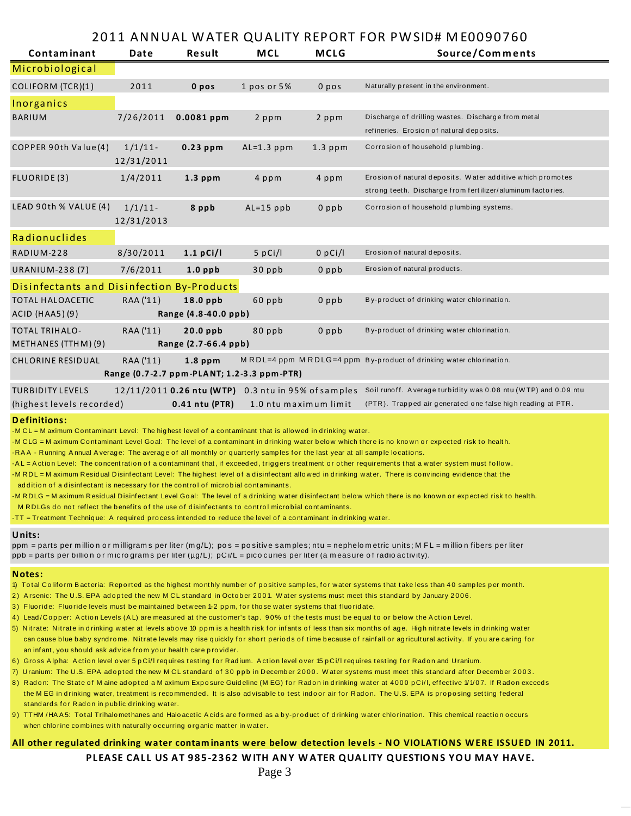## 2011 ANNUAL WATER QUALITY REPORT FOR PWSID# ME0090760

| <b>Contaminant</b>                           | Date                     | Result                                              | <b>MCL</b>   | <b>MCLG</b>           | Source/Comments                                                                                                           |  |  |
|----------------------------------------------|--------------------------|-----------------------------------------------------|--------------|-----------------------|---------------------------------------------------------------------------------------------------------------------------|--|--|
| Microbiological                              |                          |                                                     |              |                       |                                                                                                                           |  |  |
| COLIFORM (TCR)(1)                            | 2011                     | 0 pos                                               | 1 pos or 5%  | 0 <sub>p</sub>        | Naturally present in the environment.                                                                                     |  |  |
| Inorganics                                   |                          |                                                     |              |                       |                                                                                                                           |  |  |
| <b>BARIUM</b>                                | 7/26/2011                | $0.0081$ ppm                                        | 2 ppm        | 2 ppm                 | Discharge of drilling wastes. Discharge from metal<br>refineries. Erosion of natural deposits.                            |  |  |
| COPPER 90th Value(4)                         | $1/1/11$ -<br>12/31/2011 | $0.23$ ppm                                          | $AL=1.3$ ppm | $1.3$ ppm             | Corrosion of household plumbing.                                                                                          |  |  |
| <b>FLUORIDE(3)</b>                           | 1/4/2011                 | $1.3$ ppm                                           | 4 ppm        | 4 ppm                 | Erosion of natural deposits. Water additive which promotes<br>strong teeth. Discharge from fertilizer/aluminum factories. |  |  |
| LEAD 90th % VALUE (4)                        | $1/1/11$ -<br>12/31/2013 | 8 ppb                                               | $AL=15$ ppb  | $0$ ppb               | Corrosion of household plumbing systems.                                                                                  |  |  |
| Radionuclides                                |                          |                                                     |              |                       |                                                                                                                           |  |  |
| RADIUM-228                                   | 8/30/2011                | $1.1$ pCi/l                                         | $5$ pCi/l    | $0$ pCi/l             | Erosion of natural deposits.                                                                                              |  |  |
| <b>URANIUM-238 (7)</b>                       | 7/6/2011                 | $1.0$ ppb                                           | 30 ppb       | $0$ ppb               | Erosion of natural products.                                                                                              |  |  |
| Disinfectants and Disinfection By-Products   |                          |                                                     |              |                       |                                                                                                                           |  |  |
| <b>TOTAL HALOACETIC</b><br>$ACID$ (HAA5)(9)  | RAA ('11)                | $18.0$ ppb<br>Range (4.8-40.0 ppb)                  | 60 ppb       | $0$ ppb               | By-product of drinking water chlorination.                                                                                |  |  |
| <b>TOTAL TRIHALO-</b><br>METHANES (TTHM) (9) | RAA ('11)                | 20.0 ppb<br>Range (2.7-66.4 ppb)                    | 80 ppb       | $0$ ppb               | By-product of drinking water chlorination.                                                                                |  |  |
| <b>CHLORINE RESIDUAL</b>                     | RAA ('11)                | $1.8$ ppm                                           |              |                       | MRDL=4 ppm MRDLG=4 ppm By-product of drinking water chlorination.                                                         |  |  |
| Range (0.7-2.7 ppm-PLANT; 1.2-3.3 ppm-PTR)   |                          |                                                     |              |                       |                                                                                                                           |  |  |
| <b>TURBIDITY LEVELS</b>                      |                          | 12/11/2011 0.26 ntu (WTP) 0.3 ntu in 95% of samples |              |                       | Soil runoff. Average turbidity was 0.08 ntu (WTP) and 0.09 ntu                                                            |  |  |
| (highest levels recorded)                    |                          | 0.41 ntu (PTR)                                      |              | 1.0 ntu maximum limit | (PTR). Trapped air generated one false high reading at PTR.                                                               |  |  |

#### **Definitions:**

-M CL = M aximum Contaminant Level: The highest level of a contaminant that is allowed in drinking water.

-M CLG = M aximum Contaminant Level Goal: The level of a contaminant in drinking water below which there is no known or expected risk to health.

-RAA - Running Annual Average: The average of all monthly or quarterly samples for the last year at all sample locations.

-AL = Action Level: The concentration of a contaminant that, if exceeded, triggers treatment or other requirements that a water system must follow.

-M R DL = M aximum Residual Disinfectant Level: The highest level of a disinfectant allowed in drinking water. There is convincing evidence that the

ad dition of a disinfectant is necessary for the control of microbial contaminants.

-M R DLG = M aximum Residual Disinfectant Level Goal: The level of a drinking water disinfectant below which there is no known or expected risk to health.

M RDLGs do not reflect the benefits of the use of disinfectants to control microbial contaminants.

-TT = Treatment Technique: A required process intended to reduce the level of a contaminant in drinking water.

#### **Units:**

ppm = parts per million or milligrams per liter (mg/L); pos = positive samples; ntu = nephelometric units; MFL = million fibers per liter ppb = parts per billion or micrograms per liter (µg/L); pC i/L = picocuries per liter (a measure of radioactivity).

#### **Notes:**

- 1) Total Coliform Bacteria: Reported as the highest monthly number of positive samples, for water systems that take less than 40 samples per month.
- 2) A rsenic: The U.S. EPA adopted the new MCL standard in October 2001. Water systems must meet this standard by January 2006.
- 3) Fluoride: Fluoride levels must be maintained between 1-2 ppm, for those water systems that fluoridate.
- 4) Lead/Copper: Action Levels (AL) are measured at the customer's tap. 90% of the tests must be equal to or below the Action Level.
- 5) Nitrate: Nitrate in drinking water at levels above 10 ppm is a health risk for infants of less than six months of age. High nitrate levels in drinking water can cause blue baby syndrome. Nitrate levels may rise quickly for short periods of time because of rainfall or agricultural activity. If you are caring for an inf ant, you should ask ad vice from your health care provider.
- 6) Gross Alpha: Action level over 5 pCi/l requires testing for Radium. Action level over 15 pCi/l requires testing for Radon and Uranium.
- 7) Uranium: The U.S. EPA adopted the new MCL standard of 30 ppb in December 2000. Water systems must meet this standard after December 2003.
- 8) Radon: The State of M aine adopted a M aximum Exposure Guideline (MEG) for Radon in drinking water at 4000 pCi/l, effective 1/1/07. If Radon exceeds the M EG in drinking water, treatment is recommended. It is also advisable to test indoor air for Radon. The U.S. EPA is proposing setting federal st and ards for Radon in public drinking water.
- 9) TTHM/HAA5: Total Trihalomethanes and Haloacetic Acids are formed as a by-product of drinking water chlorination. This chemical reaction occurs when chlorine combines with naturally occurring organic matter in water.

## All other regulated drinking water contaminants were below detection levels - NO VIOLATIONS WERE ISSUED IN 2011.

**PLEASE CALL US AT 985‐2362 W ITH ANY WATER QUALITY QUESTION S YOU MAY HAVE.**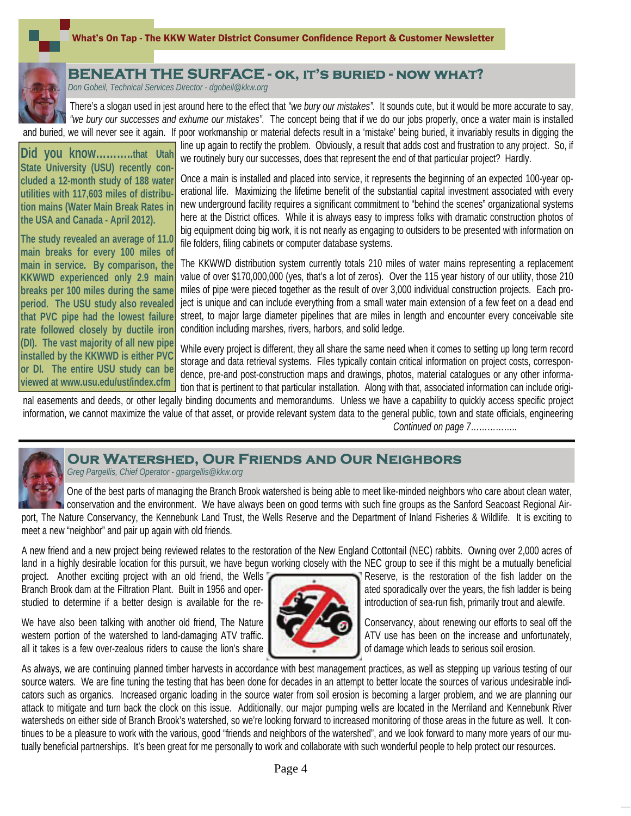

# **BENEATH THE SURFACE - ok, it's buried - now what?**

*Don Gobeil, Technical Services Director - dgobeil@kkw.org*

There's a slogan used in jest around here to the effect that *"we bury our mistakes".* It sounds cute, but it would be more accurate to say, *"we bury our successes and exhume our mistakes".* The concept being that if we do our jobs properly, once a water main is installed and buried, we will never see it again. If poor workmanship or material defects result in a 'mistake' being buried, it invariably results in digging the

**Did you know………..that Utah State University (USU) recently concluded a 12-month study of 188 water utilities with 117,603 miles of distribution mains (Water Main Break Rates in the USA and Canada - April 2012).** 

**The study revealed an average of 11.0 main breaks for every 100 miles of main in service. By comparison, the KKWWD experienced only 2.9 main breaks per 100 miles during the same period. The USU study also revealed that PVC pipe had the lowest failure rate followed closely by ductile iron (DI). The vast majority of all new pipe installed by the KKWWD is either PVC or DI. The entire USU study can be viewed at www.usu.edu/ust/index.cfm** 

line up again to rectify the problem. Obviously, a result that adds cost and frustration to any project. So, if we routinely bury our successes, does that represent the end of that particular project? Hardly.

Once a main is installed and placed into service, it represents the beginning of an expected 100-year operational life. Maximizing the lifetime benefit of the substantial capital investment associated with every new underground facility requires a significant commitment to "behind the scenes" organizational systems here at the District offices. While it is always easy to impress folks with dramatic construction photos of big equipment doing big work, it is not nearly as engaging to outsiders to be presented with information on file folders, filing cabinets or computer database systems.

The KKWWD distribution system currently totals 210 miles of water mains representing a replacement value of over \$170,000,000 (yes, that's a lot of zeros). Over the 115 year history of our utility, those 210 miles of pipe were pieced together as the result of over 3,000 individual construction projects. Each project is unique and can include everything from a small water main extension of a few feet on a dead end street, to major large diameter pipelines that are miles in length and encounter every conceivable site condition including marshes, rivers, harbors, and solid ledge.

While every project is different, they all share the same need when it comes to setting up long term record storage and data retrieval systems. Files typically contain critical information on project costs, correspondence, pre-and post-construction maps and drawings, photos, material catalogues or any other information that is pertinent to that particular installation. Along with that, associated information can include origi-

nal easements and deeds, or other legally binding documents and memorandums. Unless we have a capability to quickly access specific project information, we cannot maximize the value of that asset, or provide relevant system data to the general public, town and state officials, engineering

*Continued on page 7……………..*



## **Our Watershed, Our Friends and Our Neighbors**

*Greg Pargellis, Chief Operator - gpargellis@kkw.org*

One of the best parts of managing the Branch Brook watershed is being able to meet like-minded neighbors who care about clean water, conservation and the environment. We have always been on good terms with such fine groups as the Sanford Seacoast Regional Airport, The Nature Conservancy, the Kennebunk Land Trust, the Wells Reserve and the Department of Inland Fisheries & Wildlife. It is exciting to meet a new "neighbor" and pair up again with old friends.

A new friend and a new project being reviewed relates to the restoration of the New England Cottontail (NEC) rabbits. Owning over 2,000 acres of land in a highly desirable location for this pursuit, we have begun working closely with the NEC group to see if this might be a mutually beneficial

project. Another exciting project with an old friend, the Wells **Reserve, is the restoration of the fish ladder on the** Branch Brook dam at the Filtration Plant. Built in 1956 and operstudied to determine if a better design is available for the re-

We have also been talking with another old friend, The Nature Conservancy, about renewing our efforts to seal off the western portion of the watershed to land-damaging ATV traffic.  $\blacksquare$  ATV use has been on the increase and unfortunately, all it takes is a few over-zealous riders to cause the lion's share of damage which leads to serious soil erosion.



As always, we are continuing planned timber harvests in accordance with best management practices, as well as stepping up various testing of our source waters. We are fine tuning the testing that has been done for decades in an attempt to better locate the sources of various undesirable indicators such as organics. Increased organic loading in the source water from soil erosion is becoming a larger problem, and we are planning our attack to mitigate and turn back the clock on this issue. Additionally, our major pumping wells are located in the Merriland and Kennebunk River watersheds on either side of Branch Brook's watershed, so we're looking forward to increased monitoring of those areas in the future as well. It continues to be a pleasure to work with the various, good "friends and neighbors of the watershed", and we look forward to many more years of our mutually beneficial partnerships. It's been great for me personally to work and collaborate with such wonderful people to help protect our resources.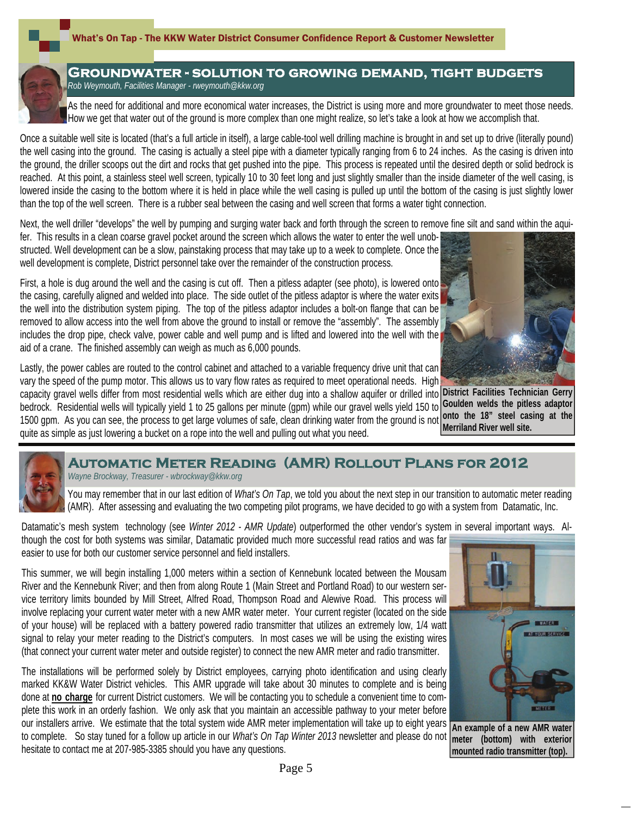

## **Groundwater - solution to growing demand, tight budgets**  *Rob Weymouth, Facilities Manager - rweymouth@kkw.org*

As the need for additional and more economical water increases, the District is using more and more groundwater to meet those needs. How we get that water out of the ground is more complex than one might realize, so let's take a look at how we accomplish that.

Once a suitable well site is located (that's a full article in itself), a large cable-tool well drilling machine is brought in and set up to drive (literally pound) the well casing into the ground. The casing is actually a steel pipe with a diameter typically ranging from 6 to 24 inches. As the casing is driven into the ground, the driller scoops out the dirt and rocks that get pushed into the pipe. This process is repeated until the desired depth or solid bedrock is reached. At this point, a stainless steel well screen, typically 10 to 30 feet long and just slightly smaller than the inside diameter of the well casing, is lowered inside the casing to the bottom where it is held in place while the well casing is pulled up until the bottom of the casing is just slightly lower than the top of the well screen. There is a rubber seal between the casing and well screen that forms a water tight connection.

Next, the well driller "develops" the well by pumping and surging water back and forth through the screen to remove fine silt and sand within the aqui-

fer. This results in a clean coarse gravel pocket around the screen which allows the water to enter the well unobstructed. Well development can be a slow, painstaking process that may take up to a week to complete. Once the well development is complete, District personnel take over the remainder of the construction process.

First, a hole is dug around the well and the casing is cut off. Then a pitless adapter (see photo), is lowered onto the casing, carefully aligned and welded into place. The side outlet of the pitless adaptor is where the water exits the well into the distribution system piping. The top of the pitless adaptor includes a bolt-on flange that can be removed to allow access into the well from above the ground to install or remove the "assembly". The assembly includes the drop pipe, check valve, power cable and well pump and is lifted and lowered into the well with the aid of a crane. The finished assembly can weigh as much as 6,000 pounds.



Lastly, the power cables are routed to the control cabinet and attached to a variable frequency drive unit that can vary the speed of the pump motor. This allows us to vary flow rates as required to meet operational needs. High

capacity gravel wells differ from most residential wells which are either dug into a shallow aquifer or drilled into **District Facilities Technician Gerry**  bedrock. Residential wells will typically yield 1 to 25 gallons per minute (gpm) while our gravel wells yield 150 to 1500 gpm. As you can see, the process to get large volumes of safe, clean drinking water from the ground is not quite as simple as just lowering a bucket on a rope into the well and pulling out what you need.

**Goulden welds the pitless adaptor onto the 18" steel casing at the Merriland River well site.** 



### **Automatic Meter Reading (AMR) Rollout Plans for 2012** *Wayne Brockway, Treasurer - wbrockway@kkw.org*

You may remember that in our last edition of *What's On Tap*, we told you about the next step in our transition to automatic meter reading (AMR). After assessing and evaluating the two competing pilot programs, we have decided to go with a system from Datamatic, Inc.

Datamatic's mesh system technology (see *Winter 2012 - AMR Update*) outperformed the other vendor's system in several important ways. Although the cost for both systems was similar, Datamatic provided much more successful read ratios and was far easier to use for both our customer service personnel and field installers.

This summer, we will begin installing 1,000 meters within a section of Kennebunk located between the Mousam River and the Kennebunk River; and then from along Route 1 (Main Street and Portland Road) to our western service territory limits bounded by Mill Street, Alfred Road, Thompson Road and Alewive Road. This process will involve replacing your current water meter with a new AMR water meter. Your current register (located on the side of your house) will be replaced with a battery powered radio transmitter that utilizes an extremely low, 1/4 watt signal to relay your meter reading to the District's computers. In most cases we will be using the existing wires (that connect your current water meter and outside register) to connect the new AMR meter and radio transmitter.

The installations will be performed solely by District employees, carrying photo identification and using clearly marked KK&W Water District vehicles. This AMR upgrade will take about 30 minutes to complete and is being done at **no charge** for current District customers. We will be contacting you to schedule a convenient time to complete this work in an orderly fashion. We only ask that you maintain an accessible pathway to your meter before our installers arrive. We estimate that the total system wide AMR meter implementation will take up to eight years

to complete. So stay tuned for a follow up article in our *What's On Tap Winter 2013* newsletter and please do not hesitate to contact me at 207-985-3385 should you have any questions.



**An example of a new AMR water meter (bottom) with exterior mounted radio transmitter (top).**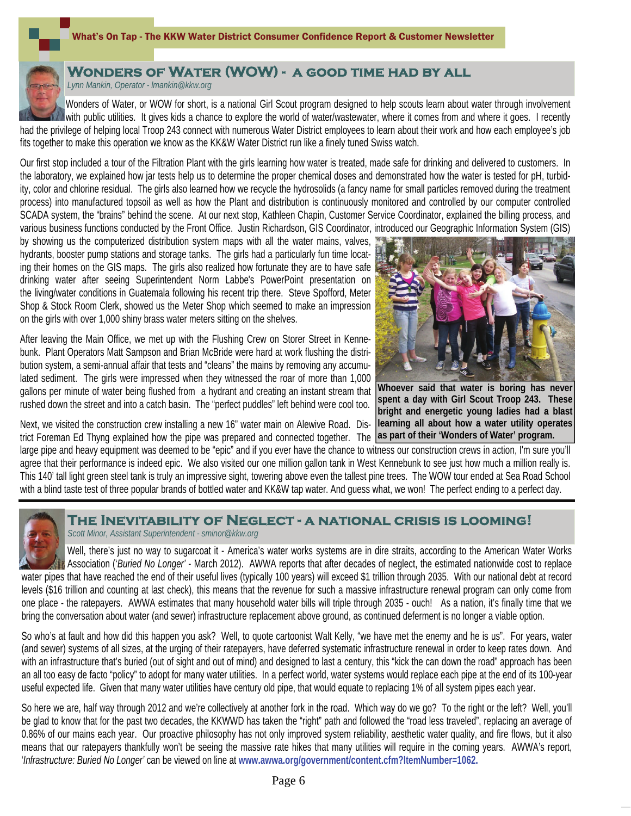#### What's On Tap - The KKW Water District Consumer Confidence Report & Customer Newsletter



# **Wonders of Water (WOW) - a good time had by all**

*Lynn Mankin, Operator - lmankin@kkw.org*

Wonders of Water, or WOW for short, is a national Girl Scout program designed to help scouts learn about water through involvement with public utilities. It gives kids a chance to explore the world of water/wastewater, where it comes from and where it goes. I recently had the privilege of helping local Troop 243 connect with numerous Water District employees to learn about their work and how each employee's job fits together to make this operation we know as the KK&W Water District run like a finely tuned Swiss watch.

Our first stop included a tour of the Filtration Plant with the girls learning how water is treated, made safe for drinking and delivered to customers. In the laboratory, we explained how jar tests help us to determine the proper chemical doses and demonstrated how the water is tested for pH, turbidity, color and chlorine residual. The girls also learned how we recycle the hydrosolids (a fancy name for small particles removed during the treatment process) into manufactured topsoil as well as how the Plant and distribution is continuously monitored and controlled by our computer controlled SCADA system, the "brains" behind the scene. At our next stop, Kathleen Chapin, Customer Service Coordinator, explained the billing process, and various business functions conducted by the Front Office. Justin Richardson, GIS Coordinator, introduced our Geographic Information System (GIS)

by showing us the computerized distribution system maps with all the water mains, valves, hydrants, booster pump stations and storage tanks. The girls had a particularly fun time locating their homes on the GIS maps. The girls also realized how fortunate they are to have safe drinking water after seeing Superintendent Norm Labbe's PowerPoint presentation on the living/water conditions in Guatemala following his recent trip there. Steve Spofford, Meter Shop & Stock Room Clerk, showed us the Meter Shop which seemed to make an impression on the girls with over 1,000 shiny brass water meters sitting on the shelves.

After leaving the Main Office, we met up with the Flushing Crew on Storer Street in Kennebunk. Plant Operators Matt Sampson and Brian McBride were hard at work flushing the distribution system, a semi-annual affair that tests and "cleans" the mains by removing any accumulated sediment. The girls were impressed when they witnessed the roar of more than 1,000 gallons per minute of water being flushed from a hydrant and creating an instant stream that rushed down the street and into a catch basin. The "perfect puddles" left behind were cool too.

Next, we visited the construction crew installing a new 16" water main on Alewive Road. District Foreman Ed Thyng explained how the pipe was prepared and connected together. The **as part of their 'Wonders of Water' program.** 



**Whoever said that water is boring has never spent a day with Girl Scout Troop 243. These bright and energetic young ladies had a blast learning all about how a water utility operates** 

large pipe and heavy equipment was deemed to be "epic" and if you ever have the chance to witness our construction crews in action, I'm sure you'll agree that their performance is indeed epic. We also visited our one million gallon tank in West Kennebunk to see just how much a million really is. This 140' tall light green steel tank is truly an impressive sight, towering above even the tallest pine trees. The WOW tour ended at Sea Road School with a blind taste test of three popular brands of bottled water and KK&W tap water. And guess what, we won! The perfect ending to a perfect day.



# **The Inevitability of Neglect - a national crisis is looming!**

*Scott Minor, Assistant Superintendent - sminor@kkw.org*

Well, there's just no way to sugarcoat it - America's water works systems are in dire straits, according to the American Water Works Association ('*Buried No Longer'* - March 2012). AWWA reports that after decades of neglect, the estimated nationwide cost to replace water pipes that have reached the end of their useful lives (typically 100 years) will exceed \$1 trillion through 2035. With our national debt at record levels (\$16 trillion and counting at last check), this means that the revenue for such a massive infrastructure renewal program can only come from one place - the ratepayers. AWWA estimates that many household water bills will triple through 2035 - ouch! As a nation, it's finally time that we bring the conversation about water (and sewer) infrastructure replacement above ground, as continued deferment is no longer a viable option.

So who's at fault and how did this happen you ask? Well, to quote cartoonist Walt Kelly, "we have met the enemy and he is us". For years, water (and sewer) systems of all sizes, at the urging of their ratepayers, have deferred systematic infrastructure renewal in order to keep rates down. And with an infrastructure that's buried (out of sight and out of mind) and designed to last a century, this "kick the can down the road" approach has been an all too easy de facto "policy" to adopt for many water utilities. In a perfect world, water systems would replace each pipe at the end of its 100-year useful expected life. Given that many water utilities have century old pipe, that would equate to replacing 1% of all system pipes each year.

So here we are, half way through 2012 and we're collectively at another fork in the road. Which way do we go? To the right or the left? Well, you'll be glad to know that for the past two decades, the KKWWD has taken the "right" path and followed the "road less traveled", replacing an average of 0.86% of our mains each year. Our proactive philosophy has not only improved system reliability, aesthetic water quality, and fire flows, but it also means that our ratepayers thankfully won't be seeing the massive rate hikes that many utilities will require in the coming years. AWWA's report, '*Infrastructure: Buried No Longer'* can be viewed on line at **www.awwa.org/government/content.cfm?ItemNumber=1062.**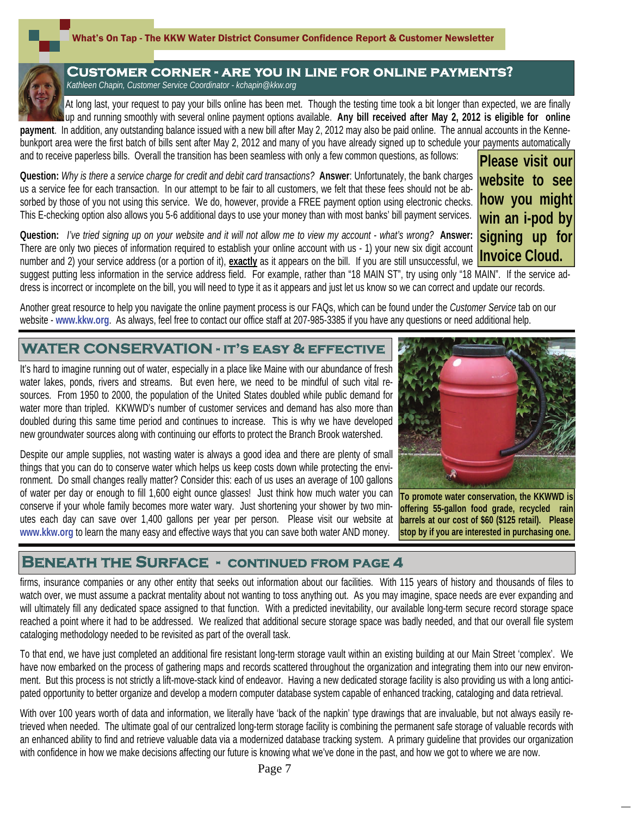

### **Customer corner - are you in line for online payments?**  *Kathleen Chapin, Customer Service Coordinator - kchapin@kkw.org*

At long last, your request to pay your bills online has been met. Though the testing time took a bit longer than expected, we are finally up and running smoothly with several online payment options available. **Any bill received after May 2, 2012 is eligible for online** 

**payment**. In addition, any outstanding balance issued with a new bill after May 2, 2012 may also be paid online. The annual accounts in the Kennebunkport area were the first batch of bills sent after May 2, 2012 and many of you have already signed up to schedule your payments automatically and to receive paperless bills. Overall the transition has been seamless with only a few common questions, as follows: **Please visit our** 

**Question:** *Why is there a service charge for credit and debit card transactions?* **Answer**: Unfortunately, the bank charges us a service fee for each transaction. In our attempt to be fair to all customers, we felt that these fees should not be absorbed by those of you not using this service. We do, however, provide a FREE payment option using electronic checks. This E-checking option also allows you 5-6 additional days to use your money than with most banks' bill payment services. **website to see how you might win an i-pod by** 

**Question:** *I've tried signing up on your website and it will not allow me to view my account - what's wrong?* **Answer:**  There are only two pieces of information required to establish your online account with us - 1) your new six digit account number and 2) your service address (or a portion of it), **exactly** as it appears on the bill. If you are still unsuccessful, we suggest putting less information in the service address field. For example, rather than "18 MAIN ST", try using only "18 MAIN". If the service address is incorrect or incomplete on the bill, you will need to type it as it appears and just let us know so we can correct and update our records. **Invoice Cloud.** 

Another great resource to help you navigate the online payment process is our FAQs, which can be found under the *Customer Service* tab on our website - **www.kkw.org**. As always, feel free to contact our office staff at 207-985-3385 if you have any questions or need additional help.

# **WATER CONSERVATION - it's easy & effective**

It's hard to imagine running out of water, especially in a place like Maine with our abundance of fresh water lakes, ponds, rivers and streams. But even here, we need to be mindful of such vital resources. From 1950 to 2000, the population of the United States doubled while public demand for water more than tripled. KKWWD's number of customer services and demand has also more than doubled during this same time period and continues to increase. This is why we have developed new groundwater sources along with continuing our efforts to protect the Branch Brook watershed.

Despite our ample supplies, not wasting water is always a good idea and there are plenty of small things that you can do to conserve water which helps us keep costs down while protecting the environment. Do small changes really matter? Consider this: each of us uses an average of 100 gallons of water per day or enough to fill 1,600 eight ounce glasses! Just think how much water you can conserve if your whole family becomes more water wary. Just shortening your shower by two minutes each day can save over 1,400 gallons per year per person. Please visit our website at **www.kkw.org** to learn the many easy and effective ways that you can save both water AND money.

# **BENEATH THE SURFACE - CONTINUED FROM PAGE 4**

firms, insurance companies or any other entity that seeks out information about our facilities. With 115 years of history and thousands of files to watch over, we must assume a packrat mentality about not wanting to toss anything out. As you may imagine, space needs are ever expanding and will ultimately fill any dedicated space assigned to that function. With a predicted inevitability, our available long-term secure record storage space reached a point where it had to be addressed. We realized that additional secure storage space was badly needed, and that our overall file system cataloging methodology needed to be revisited as part of the overall task.

To that end, we have just completed an additional fire resistant long-term storage vault within an existing building at our Main Street 'complex'. We have now embarked on the process of gathering maps and records scattered throughout the organization and integrating them into our new environment. But this process is not strictly a lift-move-stack kind of endeavor. Having a new dedicated storage facility is also providing us with a long anticipated opportunity to better organize and develop a modern computer database system capable of enhanced tracking, cataloging and data retrieval.

With over 100 years worth of data and information, we literally have 'back of the napkin' type drawings that are invaluable, but not always easily retrieved when needed. The ultimate goal of our centralized long-term storage facility is combining the permanent safe storage of valuable records with an enhanced ability to find and retrieve valuable data via a modernized database tracking system. A primary guideline that provides our organization with confidence in how we make decisions affecting our future is knowing what we've done in the past, and how we got to where we are now.

Page 7



**signing up for** 

**To promote water conservation, the KKWWD is offering 55-gallon food grade, recycled rain barrels at our cost of \$60 (\$125 retail). Please** 

**stop by if you are interested in purchasing one.**